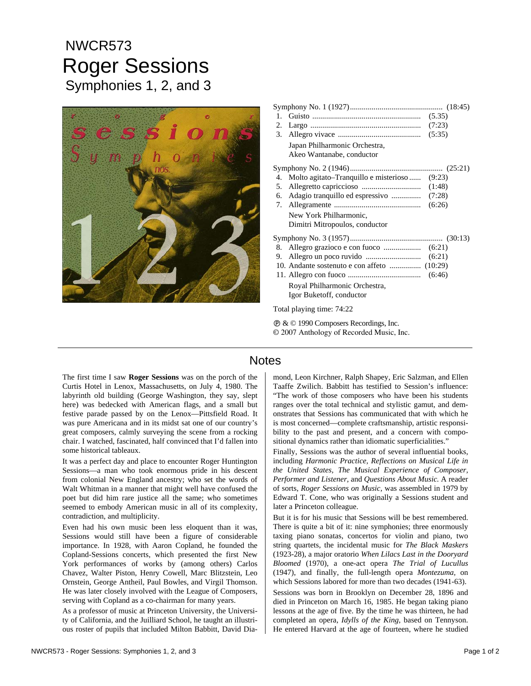## NWCR573 Roger Sessions Symphonies 1, 2, and 3



| 1.                        |                                                            |  |
|---------------------------|------------------------------------------------------------|--|
|                           |                                                            |  |
|                           |                                                            |  |
|                           | Japan Philharmonic Orchestra,<br>Akeo Wantanabe, conductor |  |
|                           |                                                            |  |
|                           | 4. Molto agitato–Tranquillo e misterioso  (9:23)           |  |
|                           |                                                            |  |
|                           | 6. Adagio tranquillo ed espressivo  (7:28)                 |  |
|                           |                                                            |  |
|                           | New York Philharmonic,<br>Dimitri Mitropoulos, conductor   |  |
|                           |                                                            |  |
|                           |                                                            |  |
|                           |                                                            |  |
|                           |                                                            |  |
|                           |                                                            |  |
|                           | Royal Philharmonic Orchestra,                              |  |
|                           | Igor Buketoff, conductor                                   |  |
| Total playing time: 74:22 |                                                            |  |

Ê & © 1990 Composers Recordings, Inc. © 2007 Anthology of Recorded Music, Inc.

## **Notes**

The first time I saw **Roger Sessions** was on the porch of the Curtis Hotel in Lenox, Massachusetts, on July 4, 1980. The labyrinth old building (George Washington, they say, slept here) was bedecked with American flags, and a small but festive parade passed by on the Lenox—Pittsfield Road. It was pure Americana and in its midst sat one of our country's great composers, calmly surveying the scene from a rocking chair. I watched, fascinated, half convinced that I'd fallen into some historical tableaux.

It was a perfect day and place to encounter Roger Huntington Sessions—a man who took enormous pride in his descent from colonial New England ancestry; who set the words of Walt Whitman in a manner that might well have confused the poet but did him rare justice all the same; who sometimes seemed to embody American music in all of its complexity, contradiction, and multiplicity.

Even had his own music been less eloquent than it was, Sessions would still have been a figure of considerable importance. In 1928, with Aaron Copland, he founded the Copland-Sessions concerts, which presented the first New York performances of works by (among others) Carlos Chavez, Walter Piston, Henry Cowell, Marc Blitzstein, Leo Ornstein, George Antheil, Paul Bowles, and Virgil Thomson. He was later closely involved with the League of Composers, serving with Copland as a co-chairman for many years.

As a professor of music at Princeton University, the University of California, and the Juilliard School, he taught an illustrious roster of pupils that included Milton Babbitt, David Diamond, Leon Kirchner, Ralph Shapey, Eric Salzman, and Ellen Taaffe Zwilich. Babbitt has testified to Session's influence: "The work of those composers who have been his students ranges over the total technical and stylistic gamut, and demonstrates that Sessions has communicated that with which he is most concerned—complete craftsmanship, artistic responsibility to the past and present, and a concern with compositional dynamics rather than idiomatic superficialities."

Finally, Sessions was the author of several influential books, including *Harmonic Practice, Reflections on Musical Life in the United States, The Musical Experience of Composer, Performer and Listener,* and *Questions About Music.* A reader of sorts, *Roger Sessions on Music,* was assembled in 1979 by Edward T. Cone, who was originally a Sessions student and later a Princeton colleague.

But it is for his music that Sessions will be best remembered. There is quite a bit of it: nine symphonies; three enormously taxing piano sonatas, concertos for violin and piano, two string quartets, the incidental music for *The Black Maskers*  (1923-28), a major oratorio *When Lilacs Last in the Dooryard Bloomed* (1970), a one-act opera *The Trial of Lucullus*  (1947), and finally, the full-length opera *Montezuma,* on which Sessions labored for more than two decades (1941-63). Sessions was born in Brooklyn on December 28, 1896 and died in Princeton on March 16, 1985. He began taking piano lessons at the age of five. By the time he was thirteen, he had completed an opera, *Idylls of the King,* based on Tennyson. He entered Harvard at the age of fourteen, where he studied